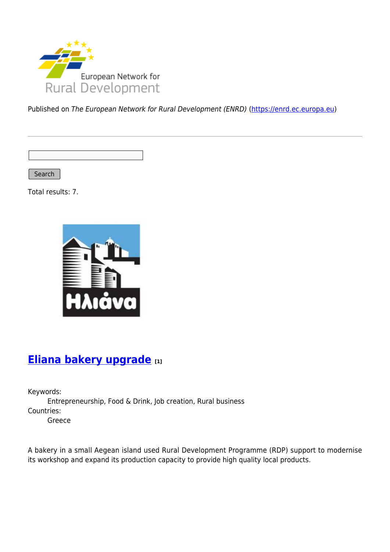

Published on The European Network for Rural Development (ENRD) [\(https://enrd.ec.europa.eu](https://enrd.ec.europa.eu))

Search

Total results: 7.



# **[Eliana bakery upgrade](https://enrd.ec.europa.eu/projects-practice/eliana-bakery-upgrade_en) [1]**

Keywords: Entrepreneurship, Food & Drink, Job creation, Rural business Countries: Greece

A bakery in a small Aegean island used Rural Development Programme (RDP) support to modernise its workshop and expand its production capacity to provide high quality local products.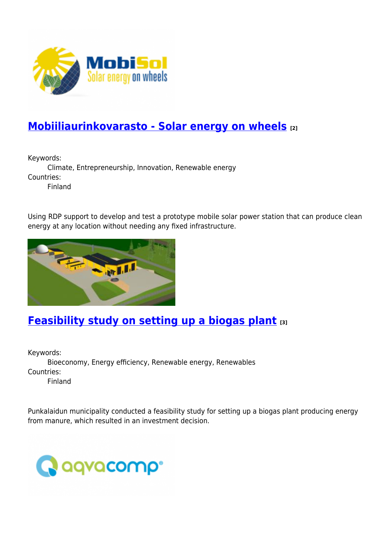

# **[Mobiiliaurinkovarasto - Solar energy on wheels](https://enrd.ec.europa.eu/projects-practice/mobiiliaurinkovarasto-solar-energy-wheels_en) [2]**

Keywords:

Climate, Entrepreneurship, Innovation, Renewable energy Countries:

Finland

Using RDP support to develop and test a prototype mobile solar power station that can produce clean energy at any location without needing any fixed infrastructure.



### **[Feasibility study on setting up a biogas plant](https://enrd.ec.europa.eu/projects-practice/feasibility-study-setting-biogas-plant_en) [3]**

Keywords: Bioeconomy, Energy efficiency, Renewable energy, Renewables Countries: Finland

Punkalaidun municipality conducted a feasibility study for setting up a biogas plant producing energy from manure, which resulted in an investment decision.

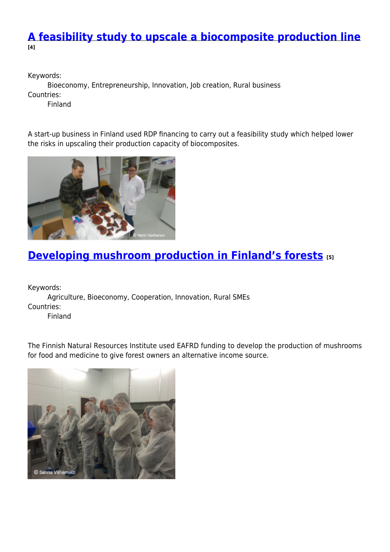#### **[A feasibility study to upscale a biocomposite production line](https://enrd.ec.europa.eu/projects-practice/feasibility-study-upscale-biocomposite-production-line_en) [4]**

Keywords:

Bioeconomy, Entrepreneurship, Innovation, Job creation, Rural business Countries:

Finland

A start-up business in Finland used RDP financing to carry out a feasibility study which helped lower the risks in upscaling their production capacity of biocomposites.



# **[Developing mushroom production in Finland's forests](https://enrd.ec.europa.eu/projects-practice/developing-mushroom-production-finlands-forests_en) [5]**

Keywords:

Agriculture, Bioeconomy, Cooperation, Innovation, Rural SMEs Countries:

Finland

The Finnish Natural Resources Institute used EAFRD funding to develop the production of mushrooms for food and medicine to give forest owners an alternative income source.

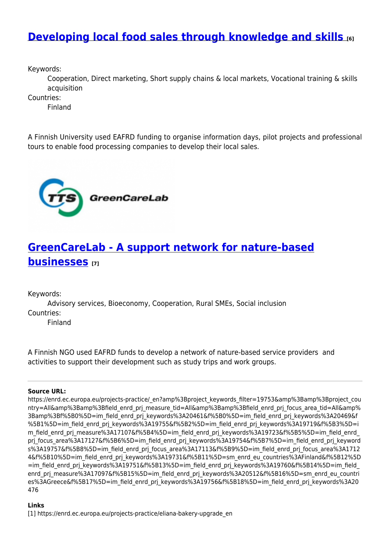#### **[Developing local food sales through knowledge and skills](https://enrd.ec.europa.eu/projects-practice/developing-local-food-sales-through-knowledge-and-skills_en) [6]**

Keywords:

Cooperation, Direct marketing, Short supply chains & local markets, Vocational training & skills acquisition

Countries:

Finland

A Finnish University used EAFRD funding to organise information days, pilot projects and professional tours to enable food processing companies to develop their local sales.



# **[GreenCareLab - A support network for nature-based](https://enrd.ec.europa.eu/projects-practice/greencarelab-support-network-nature-based-businesses_en) [businesses](https://enrd.ec.europa.eu/projects-practice/greencarelab-support-network-nature-based-businesses_en) [7]**

Keywords:

Advisory services, Bioeconomy, Cooperation, Rural SMEs, Social inclusion Countries:

Finland

A Finnish NGO used EAFRD funds to develop a network of nature-based service providers and activities to support their development such as study trips and work groups.

#### **Source URL:**

https://enrd.ec.europa.eu/projects-practice/\_en?amp%3Bproject\_keywords\_filter=19753&amp%3Bamp%3Bproject\_cou ntry=All&amp%3Bamp%3Bfield\_enrd\_prj\_measure\_tid=All&amp%3Bamp%3Bfield\_enrd\_prj\_focus\_area\_tid=All&amp% 3Bamp%3Bf%5B0%5D=im\_field\_enrd\_prj\_keywords%3A20461&f%5B0%5D=im\_field\_enrd\_prj\_keywords%3A20469&f %5B1%5D=im\_field\_enrd\_prj\_keywords%3A19755&f%5B2%5D=im\_field\_enrd\_prj\_keywords%3A19719&f%5B3%5D=i m\_field\_enrd\_prj\_measure%3A17107&f%5B4%5D=im\_field\_enrd\_prj\_keywords%3A19723&f%5B5%5D=im\_field\_enrd prj\_focus\_area%3A17127&f%5B6%5D=im\_field\_enrd\_prj\_keywords%3A19754&f%5B7%5D=im\_field\_enrd\_prj\_keyword s%3A19757&f%5B8%5D=im\_field\_enrd\_prj\_focus\_area%3A17113&f%5B9%5D=im\_field\_enrd\_prj\_focus\_area%3A1712 4&f%5B10%5D=im\_field\_enrd\_prj\_keywords%3A19731&f%5B11%5D=sm\_enrd\_eu\_countries%3AFinland&f%5B12%5D =im\_field\_enrd\_prj\_keywords%3A19751&f%5B13%5D=im\_field\_enrd\_prj\_keywords%3A19760&f%5B14%5D=im\_field enrd\_prj\_measure%3A17097&f%5B15%5D=im\_field\_enrd\_prj\_keywords%3A20512&f%5B16%5D=sm\_enrd\_eu\_countri es%3AGreece&f%5B17%5D=im\_field\_enrd\_prj\_keywords%3A19756&f%5B18%5D=im\_field\_enrd\_prj\_keywords%3A20 476

#### **Links**

[1] https://enrd.ec.europa.eu/projects-practice/eliana-bakery-upgrade\_en